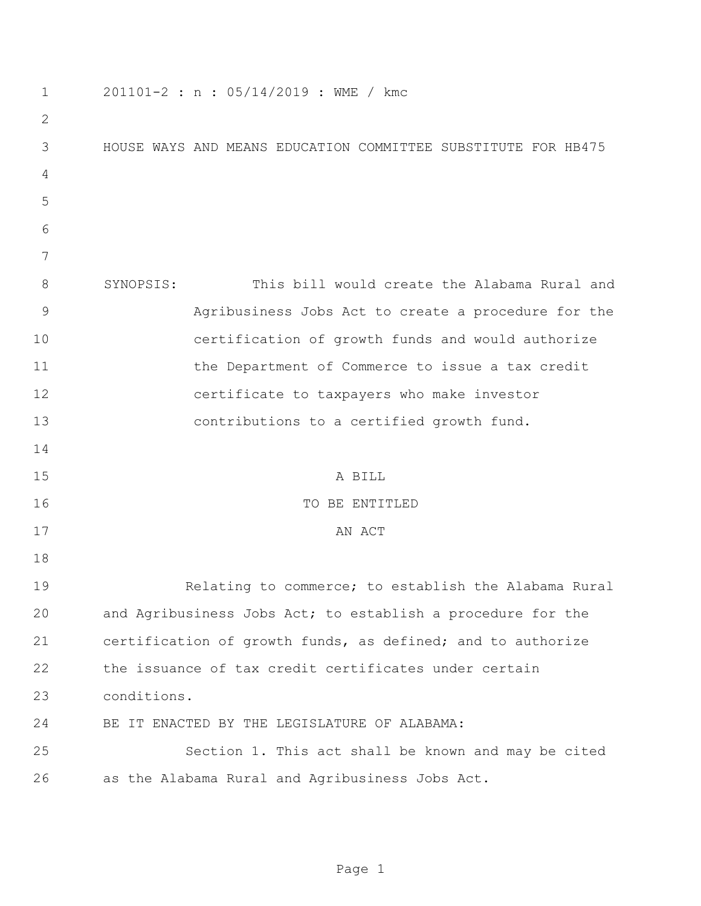| 1            | 201101-2 : n : 05/14/2019 : WME / kmc                         |
|--------------|---------------------------------------------------------------|
| $\mathbf{2}$ |                                                               |
| 3            | HOUSE WAYS AND MEANS EDUCATION COMMITTEE SUBSTITUTE FOR HB475 |
| 4            |                                                               |
| 5            |                                                               |
| 6            |                                                               |
| 7            |                                                               |
| 8            | This bill would create the Alabama Rural and<br>SYNOPSIS:     |
| 9            | Agribusiness Jobs Act to create a procedure for the           |
| 10           | certification of growth funds and would authorize             |
| 11           | the Department of Commerce to issue a tax credit              |
| 12           | certificate to taxpayers who make investor                    |
| 13           | contributions to a certified growth fund.                     |
| 14           |                                                               |
| 15           | A BILL                                                        |
| 16           | TO BE ENTITLED                                                |
| 17           | AN ACT                                                        |
| 18           |                                                               |
| 19           | Relating to commerce; to establish the Alabama Rural          |
| 20           | and Agribusiness Jobs Act; to establish a procedure for the   |
| 21           | certification of growth funds, as defined; and to authorize   |
| 22           | the issuance of tax credit certificates under certain         |
| 23           | conditions.                                                   |
| 24           | BE IT ENACTED BY THE LEGISLATURE OF ALABAMA:                  |
| 25           | Section 1. This act shall be known and may be cited           |
| 26           | as the Alabama Rural and Agribusiness Jobs Act.               |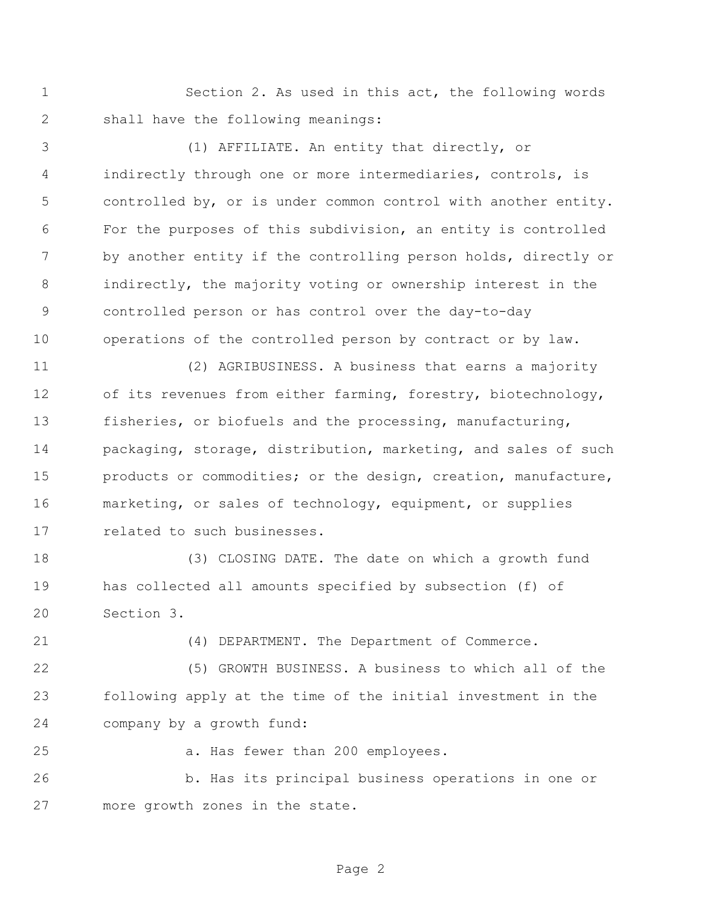Section 2. As used in this act, the following words shall have the following meanings:

 (1) AFFILIATE. An entity that directly, or indirectly through one or more intermediaries, controls, is controlled by, or is under common control with another entity. For the purposes of this subdivision, an entity is controlled 7 by another entity if the controlling person holds, directly or indirectly, the majority voting or ownership interest in the controlled person or has control over the day-to-day operations of the controlled person by contract or by law.

 (2) AGRIBUSINESS. A business that earns a majority of its revenues from either farming, forestry, biotechnology, fisheries, or biofuels and the processing, manufacturing, packaging, storage, distribution, marketing, and sales of such products or commodities; or the design, creation, manufacture, marketing, or sales of technology, equipment, or supplies related to such businesses.

 (3) CLOSING DATE. The date on which a growth fund has collected all amounts specified by subsection (f) of Section 3.

(4) DEPARTMENT. The Department of Commerce.

 (5) GROWTH BUSINESS. A business to which all of the following apply at the time of the initial investment in the company by a growth fund:

a. Has fewer than 200 employees.

 b. Has its principal business operations in one or more growth zones in the state.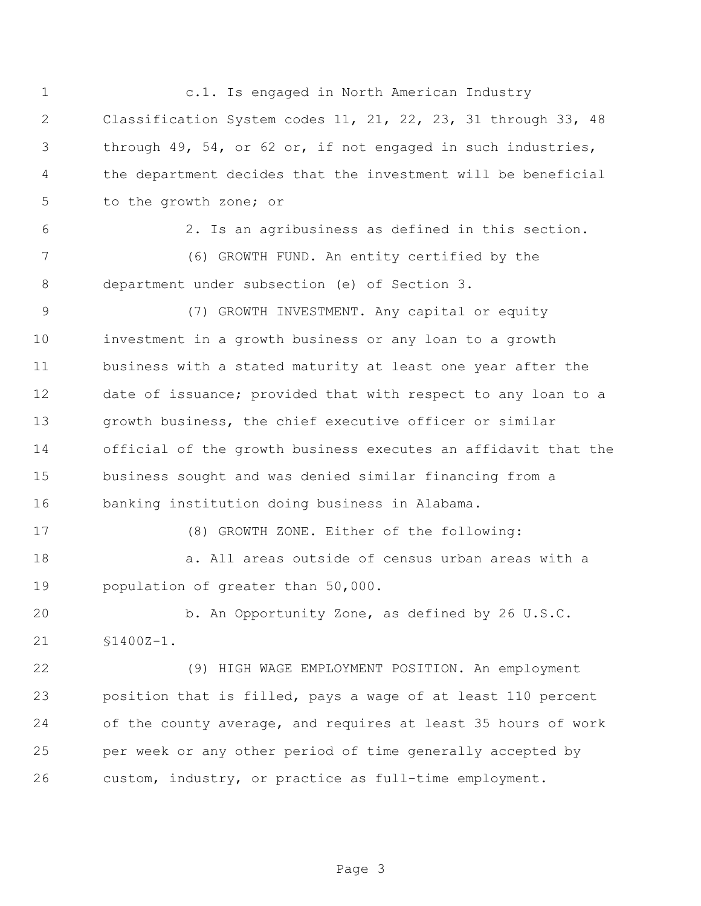c.1. Is engaged in North American Industry Classification System codes 11, 21, 22, 23, 31 through 33, 48 through 49, 54, or 62 or, if not engaged in such industries, the department decides that the investment will be beneficial to the growth zone; or 2. Is an agribusiness as defined in this section. (6) GROWTH FUND. An entity certified by the department under subsection (e) of Section 3. (7) GROWTH INVESTMENT. Any capital or equity investment in a growth business or any loan to a growth business with a stated maturity at least one year after the date of issuance; provided that with respect to any loan to a growth business, the chief executive officer or similar official of the growth business executes an affidavit that the business sought and was denied similar financing from a banking institution doing business in Alabama. (8) GROWTH ZONE. Either of the following: a. All areas outside of census urban areas with a population of greater than 50,000. b. An Opportunity Zone, as defined by 26 U.S.C. §1400Z-1. (9) HIGH WAGE EMPLOYMENT POSITION. An employment position that is filled, pays a wage of at least 110 percent of the county average, and requires at least 35 hours of work per week or any other period of time generally accepted by custom, industry, or practice as full-time employment.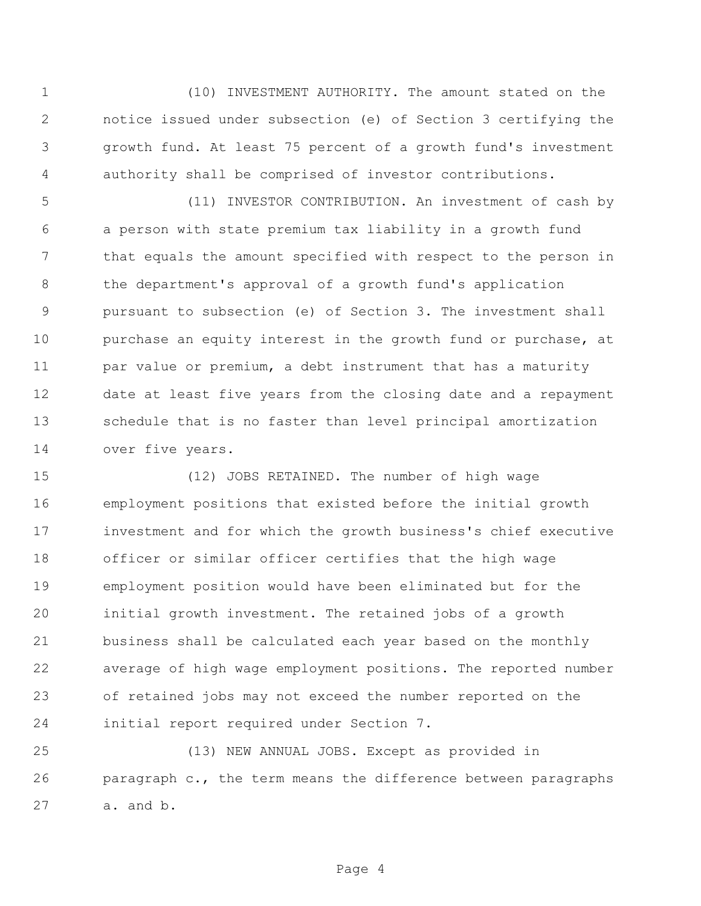(10) INVESTMENT AUTHORITY. The amount stated on the notice issued under subsection (e) of Section 3 certifying the growth fund. At least 75 percent of a growth fund's investment authority shall be comprised of investor contributions.

 (11) INVESTOR CONTRIBUTION. An investment of cash by a person with state premium tax liability in a growth fund that equals the amount specified with respect to the person in 8 the department's approval of a growth fund's application pursuant to subsection (e) of Section 3. The investment shall purchase an equity interest in the growth fund or purchase, at 11 par value or premium, a debt instrument that has a maturity date at least five years from the closing date and a repayment schedule that is no faster than level principal amortization over five years.

 (12) JOBS RETAINED. The number of high wage employment positions that existed before the initial growth investment and for which the growth business's chief executive officer or similar officer certifies that the high wage employment position would have been eliminated but for the initial growth investment. The retained jobs of a growth business shall be calculated each year based on the monthly average of high wage employment positions. The reported number of retained jobs may not exceed the number reported on the initial report required under Section 7.

 (13) NEW ANNUAL JOBS. Except as provided in paragraph c., the term means the difference between paragraphs a. and b.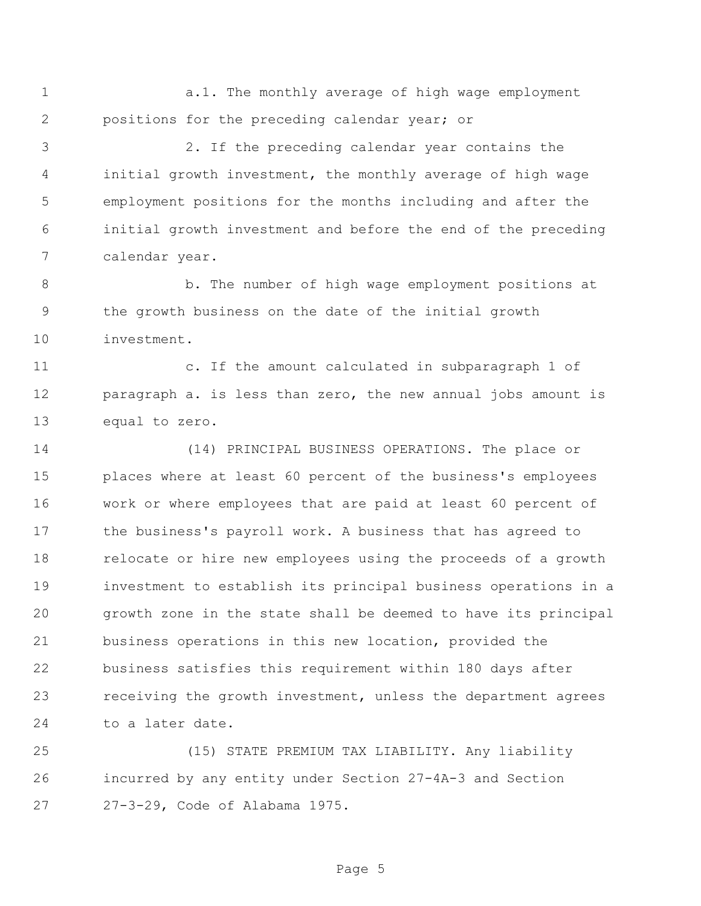1 a.1. The monthly average of high wage employment positions for the preceding calendar year; or

 2. If the preceding calendar year contains the initial growth investment, the monthly average of high wage employment positions for the months including and after the initial growth investment and before the end of the preceding calendar year.

 b. The number of high wage employment positions at the growth business on the date of the initial growth investment.

 c. If the amount calculated in subparagraph 1 of paragraph a. is less than zero, the new annual jobs amount is equal to zero.

 (14) PRINCIPAL BUSINESS OPERATIONS. The place or places where at least 60 percent of the business's employees work or where employees that are paid at least 60 percent of the business's payroll work. A business that has agreed to relocate or hire new employees using the proceeds of a growth investment to establish its principal business operations in a growth zone in the state shall be deemed to have its principal business operations in this new location, provided the business satisfies this requirement within 180 days after receiving the growth investment, unless the department agrees to a later date.

 (15) STATE PREMIUM TAX LIABILITY. Any liability incurred by any entity under Section 27-4A-3 and Section 27-3-29, Code of Alabama 1975.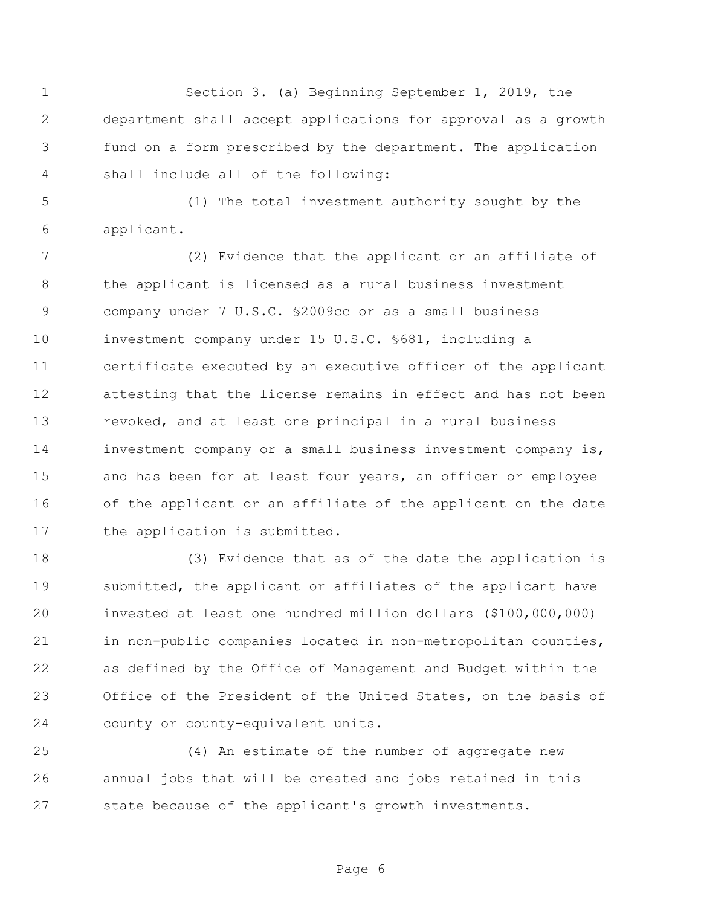Section 3. (a) Beginning September 1, 2019, the department shall accept applications for approval as a growth fund on a form prescribed by the department. The application shall include all of the following:

 (1) The total investment authority sought by the applicant.

 (2) Evidence that the applicant or an affiliate of the applicant is licensed as a rural business investment company under 7 U.S.C. §2009cc or as a small business investment company under 15 U.S.C. §681, including a certificate executed by an executive officer of the applicant attesting that the license remains in effect and has not been revoked, and at least one principal in a rural business investment company or a small business investment company is, 15 and has been for at least four years, an officer or employee of the applicant or an affiliate of the applicant on the date the application is submitted.

 (3) Evidence that as of the date the application is submitted, the applicant or affiliates of the applicant have invested at least one hundred million dollars (\$100,000,000) in non-public companies located in non-metropolitan counties, as defined by the Office of Management and Budget within the Office of the President of the United States, on the basis of county or county-equivalent units.

 (4) An estimate of the number of aggregate new annual jobs that will be created and jobs retained in this state because of the applicant's growth investments.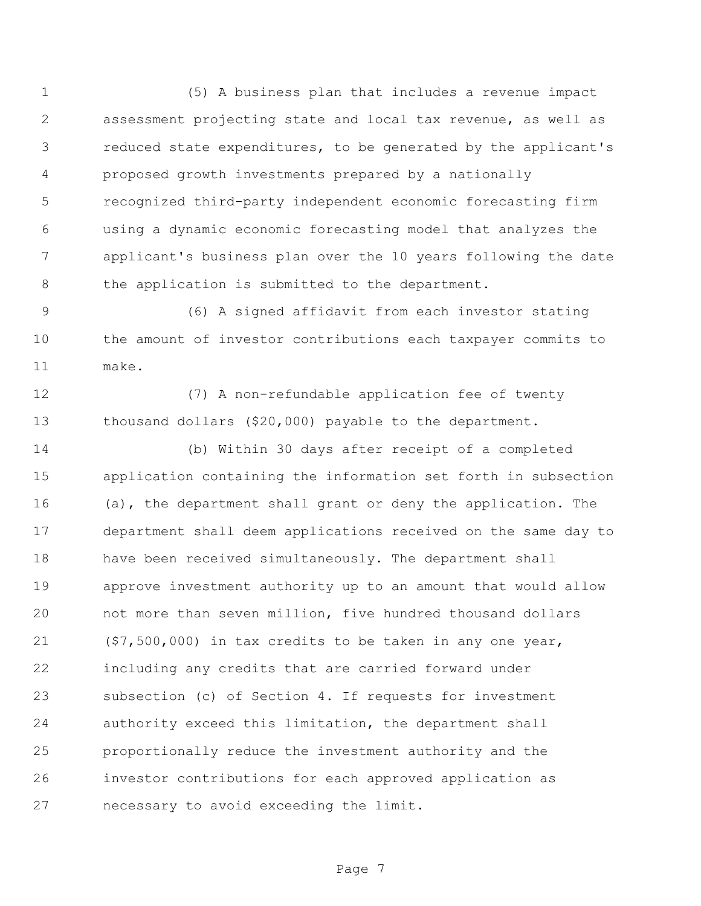(5) A business plan that includes a revenue impact assessment projecting state and local tax revenue, as well as reduced state expenditures, to be generated by the applicant's proposed growth investments prepared by a nationally recognized third-party independent economic forecasting firm using a dynamic economic forecasting model that analyzes the applicant's business plan over the 10 years following the date the application is submitted to the department.

 (6) A signed affidavit from each investor stating the amount of investor contributions each taxpayer commits to make.

 (7) A non-refundable application fee of twenty thousand dollars (\$20,000) payable to the department.

 (b) Within 30 days after receipt of a completed application containing the information set forth in subsection (a), the department shall grant or deny the application. The department shall deem applications received on the same day to have been received simultaneously. The department shall approve investment authority up to an amount that would allow not more than seven million, five hundred thousand dollars (\$7,500,000) in tax credits to be taken in any one year, including any credits that are carried forward under subsection (c) of Section 4. If requests for investment authority exceed this limitation, the department shall proportionally reduce the investment authority and the investor contributions for each approved application as necessary to avoid exceeding the limit.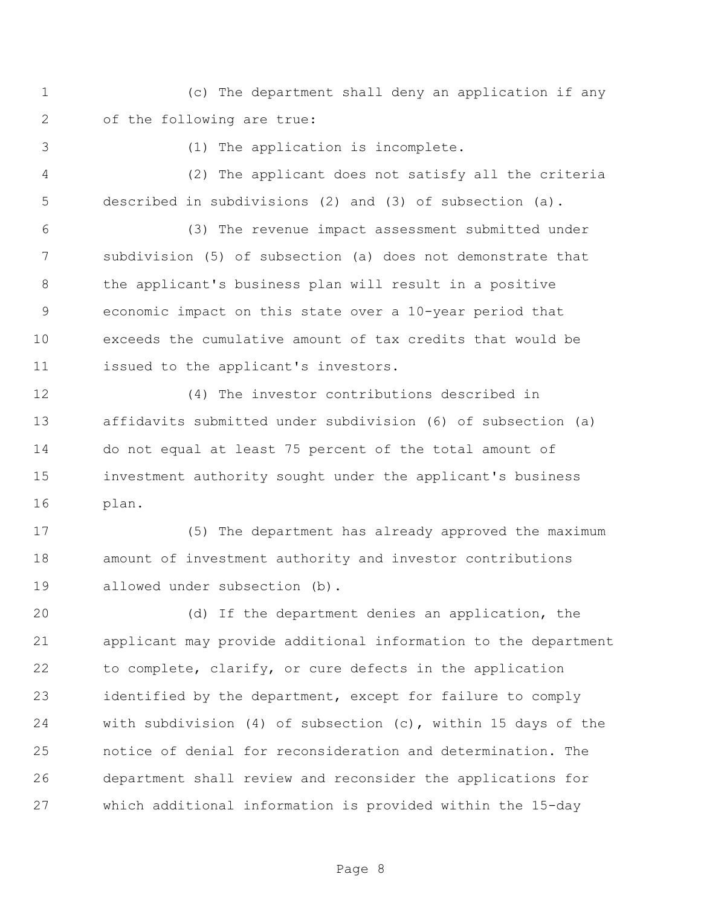(c) The department shall deny an application if any of the following are true:

(1) The application is incomplete.

 (2) The applicant does not satisfy all the criteria described in subdivisions (2) and (3) of subsection (a).

 (3) The revenue impact assessment submitted under subdivision (5) of subsection (a) does not demonstrate that the applicant's business plan will result in a positive economic impact on this state over a 10-year period that exceeds the cumulative amount of tax credits that would be issued to the applicant's investors.

 (4) The investor contributions described in affidavits submitted under subdivision (6) of subsection (a) do not equal at least 75 percent of the total amount of investment authority sought under the applicant's business plan.

 (5) The department has already approved the maximum amount of investment authority and investor contributions allowed under subsection (b).

 (d) If the department denies an application, the applicant may provide additional information to the department to complete, clarify, or cure defects in the application identified by the department, except for failure to comply with subdivision (4) of subsection (c), within 15 days of the notice of denial for reconsideration and determination. The department shall review and reconsider the applications for which additional information is provided within the 15-day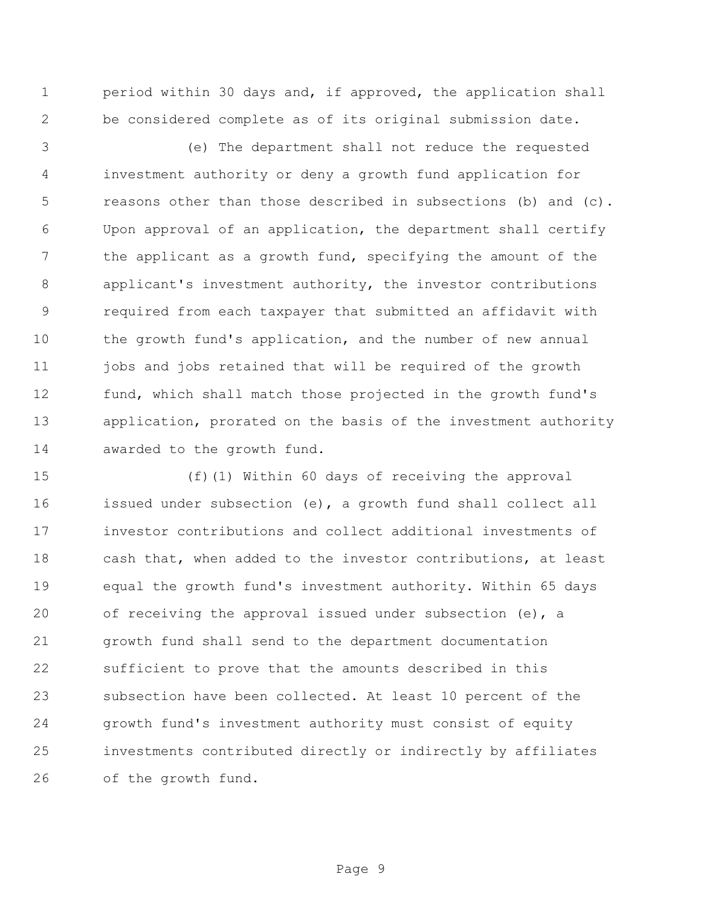period within 30 days and, if approved, the application shall be considered complete as of its original submission date.

 (e) The department shall not reduce the requested investment authority or deny a growth fund application for reasons other than those described in subsections (b) and (c). Upon approval of an application, the department shall certify 7 the applicant as a growth fund, specifying the amount of the applicant's investment authority, the investor contributions required from each taxpayer that submitted an affidavit with the growth fund's application, and the number of new annual 11 jobs and jobs retained that will be required of the growth fund, which shall match those projected in the growth fund's application, prorated on the basis of the investment authority 14 awarded to the growth fund.

 (f)(1) Within 60 days of receiving the approval issued under subsection (e), a growth fund shall collect all investor contributions and collect additional investments of cash that, when added to the investor contributions, at least equal the growth fund's investment authority. Within 65 days of receiving the approval issued under subsection (e), a growth fund shall send to the department documentation sufficient to prove that the amounts described in this subsection have been collected. At least 10 percent of the growth fund's investment authority must consist of equity investments contributed directly or indirectly by affiliates of the growth fund.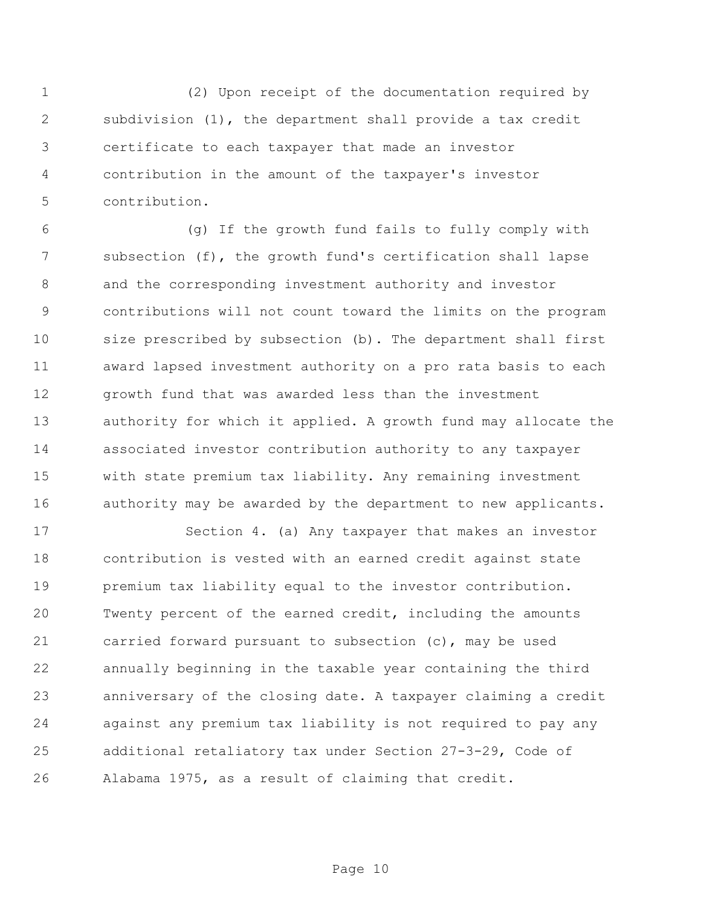(2) Upon receipt of the documentation required by subdivision (1), the department shall provide a tax credit certificate to each taxpayer that made an investor contribution in the amount of the taxpayer's investor contribution.

 (g) If the growth fund fails to fully comply with subsection (f), the growth fund's certification shall lapse and the corresponding investment authority and investor contributions will not count toward the limits on the program size prescribed by subsection (b). The department shall first award lapsed investment authority on a pro rata basis to each growth fund that was awarded less than the investment authority for which it applied. A growth fund may allocate the associated investor contribution authority to any taxpayer with state premium tax liability. Any remaining investment 16 authority may be awarded by the department to new applicants.

 Section 4. (a) Any taxpayer that makes an investor contribution is vested with an earned credit against state premium tax liability equal to the investor contribution. Twenty percent of the earned credit, including the amounts carried forward pursuant to subsection (c), may be used annually beginning in the taxable year containing the third anniversary of the closing date. A taxpayer claiming a credit against any premium tax liability is not required to pay any additional retaliatory tax under Section 27-3-29, Code of Alabama 1975, as a result of claiming that credit.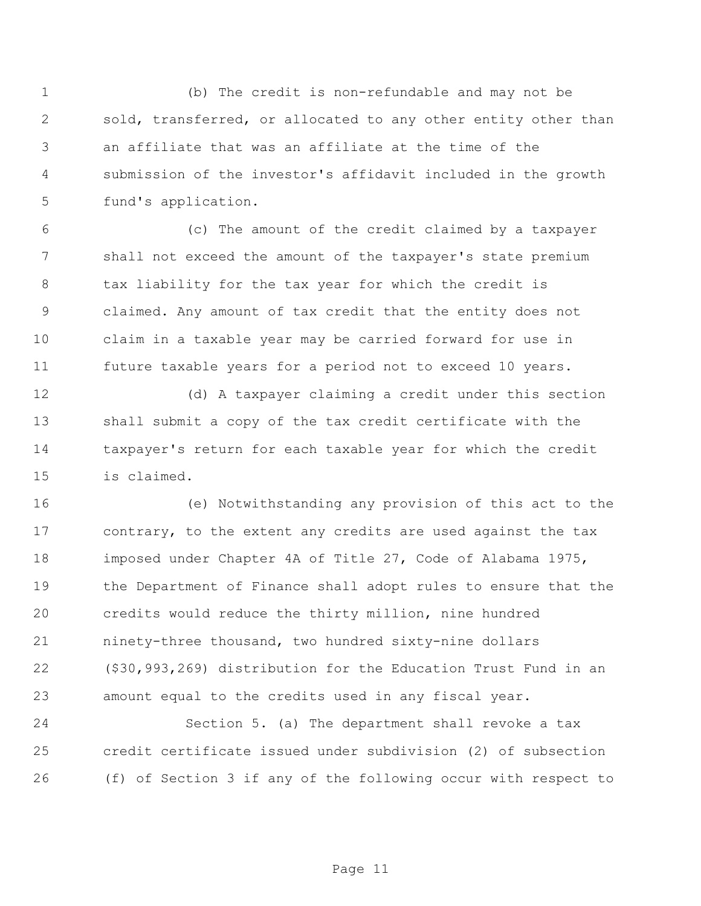(b) The credit is non-refundable and may not be sold, transferred, or allocated to any other entity other than an affiliate that was an affiliate at the time of the submission of the investor's affidavit included in the growth fund's application.

 (c) The amount of the credit claimed by a taxpayer shall not exceed the amount of the taxpayer's state premium tax liability for the tax year for which the credit is claimed. Any amount of tax credit that the entity does not claim in a taxable year may be carried forward for use in future taxable years for a period not to exceed 10 years.

 (d) A taxpayer claiming a credit under this section shall submit a copy of the tax credit certificate with the taxpayer's return for each taxable year for which the credit is claimed.

 (e) Notwithstanding any provision of this act to the contrary, to the extent any credits are used against the tax imposed under Chapter 4A of Title 27, Code of Alabama 1975, the Department of Finance shall adopt rules to ensure that the credits would reduce the thirty million, nine hundred ninety-three thousand, two hundred sixty-nine dollars (\$30,993,269) distribution for the Education Trust Fund in an amount equal to the credits used in any fiscal year.

 Section 5. (a) The department shall revoke a tax credit certificate issued under subdivision (2) of subsection (f) of Section 3 if any of the following occur with respect to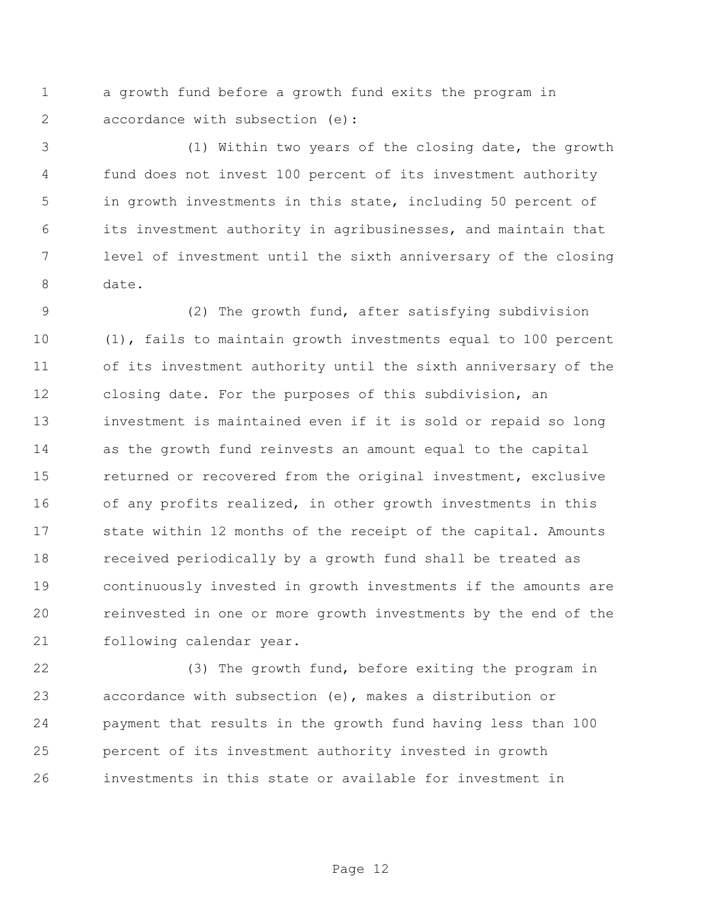a growth fund before a growth fund exits the program in 2 accordance with subsection (e):

 (1) Within two years of the closing date, the growth fund does not invest 100 percent of its investment authority in growth investments in this state, including 50 percent of its investment authority in agribusinesses, and maintain that level of investment until the sixth anniversary of the closing date.

 (2) The growth fund, after satisfying subdivision (1), fails to maintain growth investments equal to 100 percent of its investment authority until the sixth anniversary of the closing date. For the purposes of this subdivision, an investment is maintained even if it is sold or repaid so long as the growth fund reinvests an amount equal to the capital returned or recovered from the original investment, exclusive of any profits realized, in other growth investments in this state within 12 months of the receipt of the capital. Amounts received periodically by a growth fund shall be treated as continuously invested in growth investments if the amounts are reinvested in one or more growth investments by the end of the following calendar year.

 (3) The growth fund, before exiting the program in accordance with subsection (e), makes a distribution or payment that results in the growth fund having less than 100 percent of its investment authority invested in growth investments in this state or available for investment in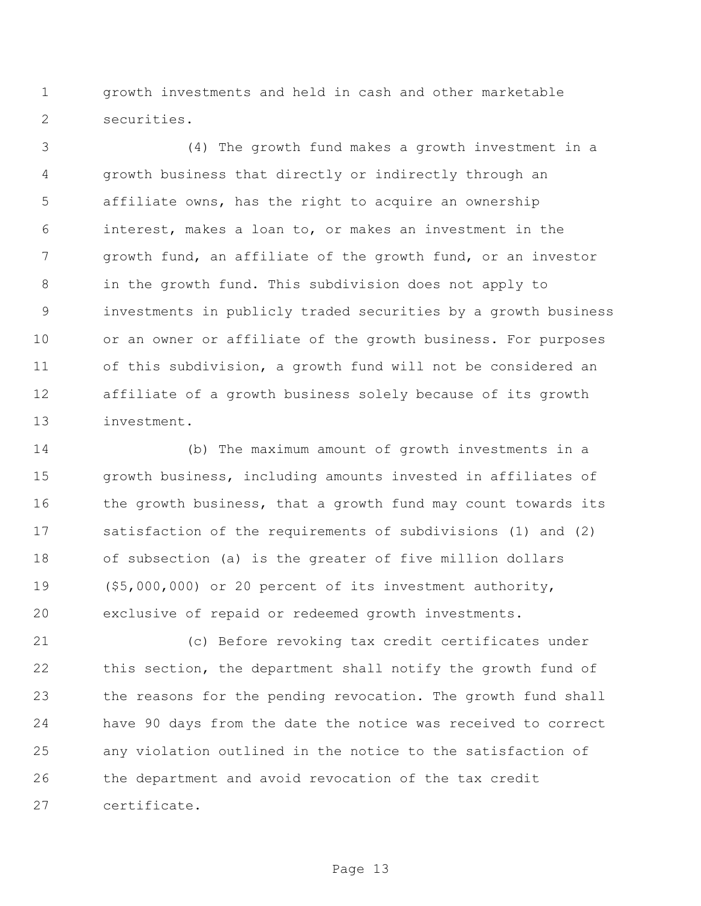growth investments and held in cash and other marketable securities.

 (4) The growth fund makes a growth investment in a growth business that directly or indirectly through an affiliate owns, has the right to acquire an ownership interest, makes a loan to, or makes an investment in the growth fund, an affiliate of the growth fund, or an investor in the growth fund. This subdivision does not apply to investments in publicly traded securities by a growth business or an owner or affiliate of the growth business. For purposes of this subdivision, a growth fund will not be considered an affiliate of a growth business solely because of its growth investment.

 (b) The maximum amount of growth investments in a growth business, including amounts invested in affiliates of 16 the growth business, that a growth fund may count towards its satisfaction of the requirements of subdivisions (1) and (2) of subsection (a) is the greater of five million dollars (\$5,000,000) or 20 percent of its investment authority, exclusive of repaid or redeemed growth investments.

 (c) Before revoking tax credit certificates under this section, the department shall notify the growth fund of the reasons for the pending revocation. The growth fund shall have 90 days from the date the notice was received to correct any violation outlined in the notice to the satisfaction of the department and avoid revocation of the tax credit certificate.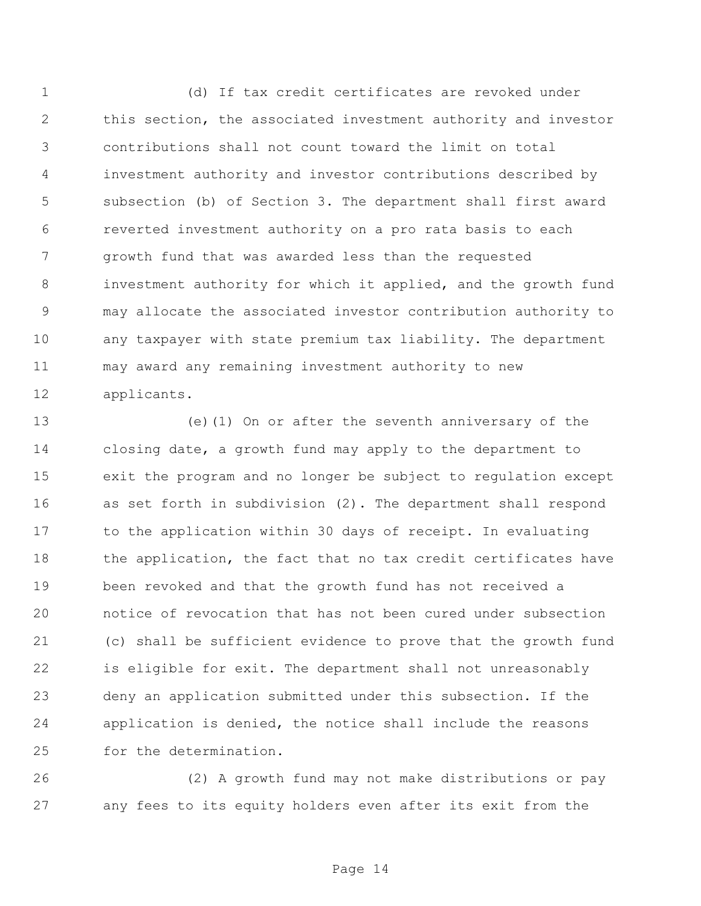(d) If tax credit certificates are revoked under this section, the associated investment authority and investor contributions shall not count toward the limit on total investment authority and investor contributions described by subsection (b) of Section 3. The department shall first award reverted investment authority on a pro rata basis to each growth fund that was awarded less than the requested investment authority for which it applied, and the growth fund may allocate the associated investor contribution authority to any taxpayer with state premium tax liability. The department may award any remaining investment authority to new applicants.

 (e)(1) On or after the seventh anniversary of the closing date, a growth fund may apply to the department to exit the program and no longer be subject to regulation except as set forth in subdivision (2). The department shall respond to the application within 30 days of receipt. In evaluating 18 the application, the fact that no tax credit certificates have been revoked and that the growth fund has not received a notice of revocation that has not been cured under subsection (c) shall be sufficient evidence to prove that the growth fund is eligible for exit. The department shall not unreasonably deny an application submitted under this subsection. If the application is denied, the notice shall include the reasons for the determination.

 (2) A growth fund may not make distributions or pay any fees to its equity holders even after its exit from the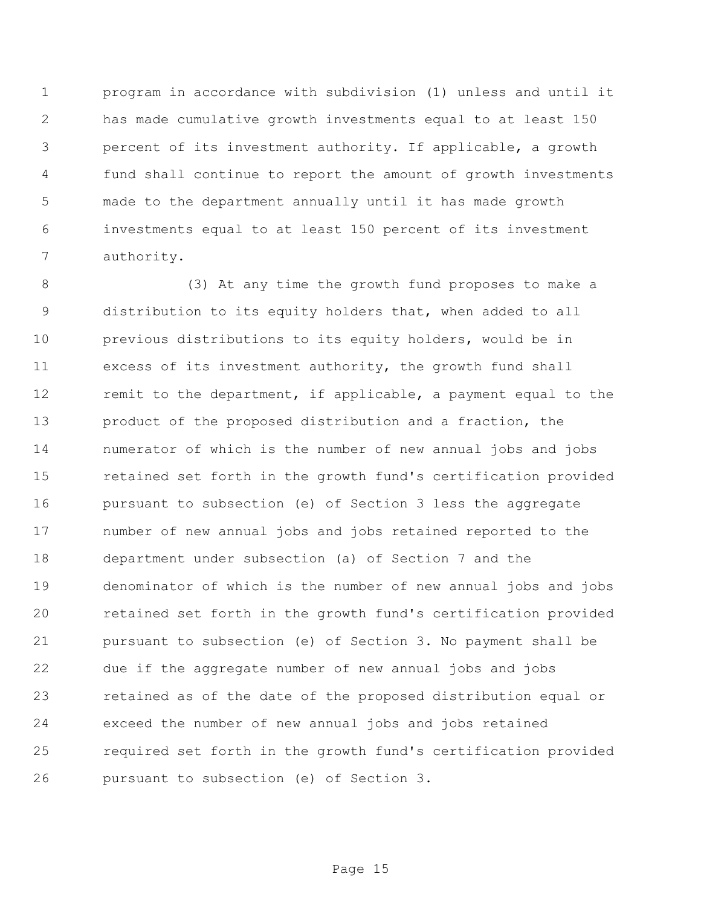program in accordance with subdivision (1) unless and until it has made cumulative growth investments equal to at least 150 percent of its investment authority. If applicable, a growth fund shall continue to report the amount of growth investments made to the department annually until it has made growth investments equal to at least 150 percent of its investment authority.

 (3) At any time the growth fund proposes to make a distribution to its equity holders that, when added to all previous distributions to its equity holders, would be in excess of its investment authority, the growth fund shall remit to the department, if applicable, a payment equal to the product of the proposed distribution and a fraction, the numerator of which is the number of new annual jobs and jobs retained set forth in the growth fund's certification provided pursuant to subsection (e) of Section 3 less the aggregate number of new annual jobs and jobs retained reported to the department under subsection (a) of Section 7 and the denominator of which is the number of new annual jobs and jobs retained set forth in the growth fund's certification provided pursuant to subsection (e) of Section 3. No payment shall be due if the aggregate number of new annual jobs and jobs retained as of the date of the proposed distribution equal or exceed the number of new annual jobs and jobs retained required set forth in the growth fund's certification provided pursuant to subsection (e) of Section 3.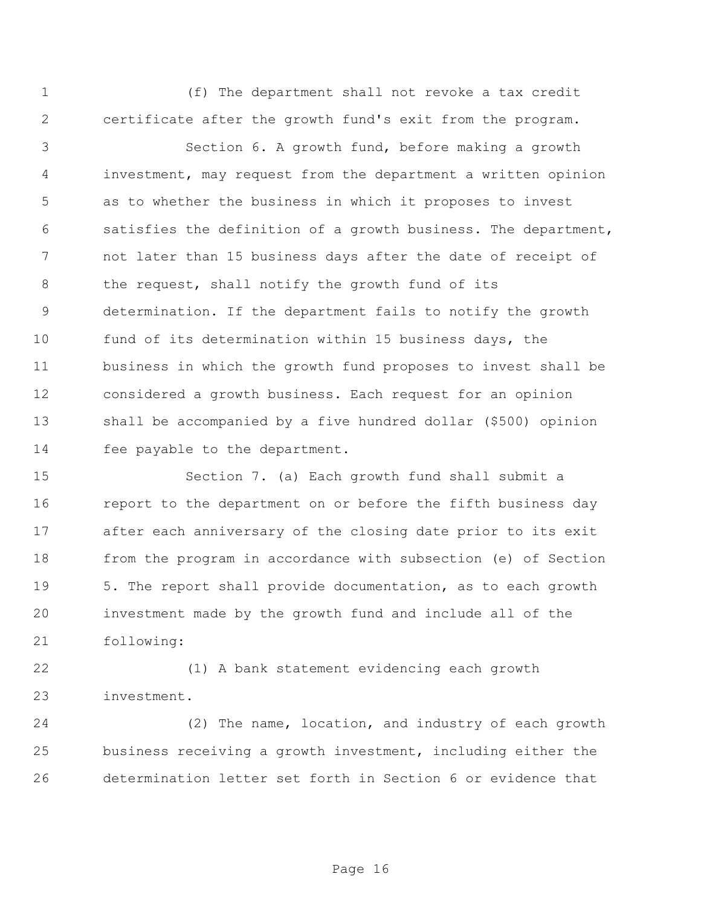(f) The department shall not revoke a tax credit certificate after the growth fund's exit from the program.

 Section 6. A growth fund, before making a growth investment, may request from the department a written opinion as to whether the business in which it proposes to invest satisfies the definition of a growth business. The department, not later than 15 business days after the date of receipt of the request, shall notify the growth fund of its determination. If the department fails to notify the growth fund of its determination within 15 business days, the business in which the growth fund proposes to invest shall be considered a growth business. Each request for an opinion shall be accompanied by a five hundred dollar (\$500) opinion fee payable to the department.

 Section 7. (a) Each growth fund shall submit a report to the department on or before the fifth business day after each anniversary of the closing date prior to its exit from the program in accordance with subsection (e) of Section 5. The report shall provide documentation, as to each growth investment made by the growth fund and include all of the following:

 (1) A bank statement evidencing each growth investment.

 (2) The name, location, and industry of each growth business receiving a growth investment, including either the determination letter set forth in Section 6 or evidence that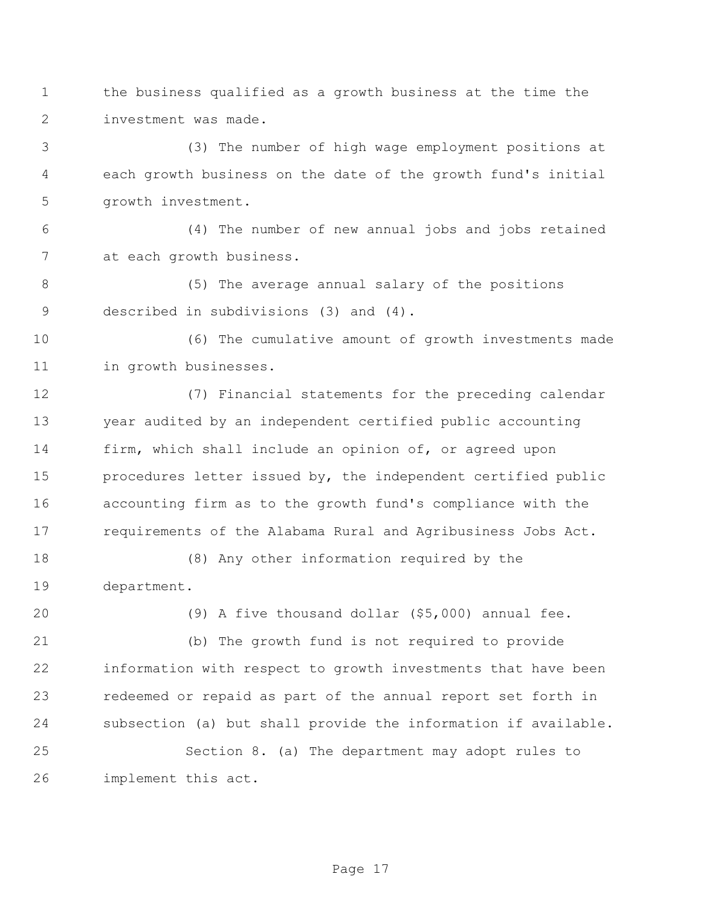- the business qualified as a growth business at the time the investment was made.
- (3) The number of high wage employment positions at each growth business on the date of the growth fund's initial growth investment.

 (4) The number of new annual jobs and jobs retained at each growth business.

 (5) The average annual salary of the positions described in subdivisions (3) and (4).

 (6) The cumulative amount of growth investments made in growth businesses.

 (7) Financial statements for the preceding calendar year audited by an independent certified public accounting firm, which shall include an opinion of, or agreed upon procedures letter issued by, the independent certified public accounting firm as to the growth fund's compliance with the requirements of the Alabama Rural and Agribusiness Jobs Act.

 (8) Any other information required by the department.

(9) A five thousand dollar (\$5,000) annual fee.

 (b) The growth fund is not required to provide information with respect to growth investments that have been redeemed or repaid as part of the annual report set forth in subsection (a) but shall provide the information if available.

 Section 8. (a) The department may adopt rules to implement this act.